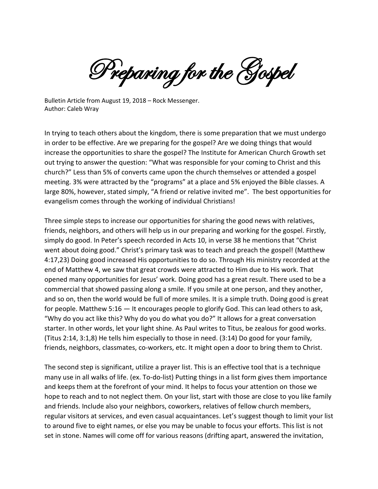Preparing for the Gospel

Bulletin Article from August 19, 2018 – Rock Messenger. Author: Caleb Wray

In trying to teach others about the kingdom, there is some preparation that we must undergo in order to be effective. Are we preparing for the gospel? Are we doing things that would increase the opportunities to share the gospel? The Institute for American Church Growth set out trying to answer the question: "What was responsible for your coming to Christ and this church?" Less than 5% of converts came upon the church themselves or attended a gospel meeting. 3% were attracted by the "programs" at a place and 5% enjoyed the Bible classes. A large 80%, however, stated simply, "A friend or relative invited me". The best opportunities for evangelism comes through the working of individual Christians!

Three simple steps to increase our opportunities for sharing the good news with relatives, friends, neighbors, and others will help us in our preparing and working for the gospel. Firstly, simply do good. In Peter's speech recorded in Acts 10, in verse 38 he mentions that "Christ went about doing good." Christ's primary task was to teach and preach the gospel! (Matthew 4:17,23) Doing good increased His opportunities to do so. Through His ministry recorded at the end of Matthew 4, we saw that great crowds were attracted to Him due to His work. That opened many opportunities for Jesus' work. Doing good has a great result. There used to be a commercial that showed passing along a smile. If you smile at one person, and they another, and so on, then the world would be full of more smiles. It is a simple truth. Doing good is great for people. Matthew 5:16 — It encourages people to glorify God. This can lead others to ask, "Why do you act like this? Why do you do what you do?" It allows for a great conversation starter. In other words, let your light shine. As Paul writes to Titus, be zealous for good works. (Titus 2:14, 3:1,8) He tells him especially to those in need. (3:14) Do good for your family, friends, neighbors, classmates, co-workers, etc. It might open a door to bring them to Christ.

The second step is significant, utilize a prayer list. This is an effective tool that is a technique many use in all walks of life. (ex. To-do-list) Putting things in a list form gives them importance and keeps them at the forefront of your mind. It helps to focus your attention on those we hope to reach and to not neglect them. On your list, start with those are close to you like family and friends. Include also your neighbors, coworkers, relatives of fellow church members, regular visitors at services, and even casual acquaintances. Let's suggest though to limit your list to around five to eight names, or else you may be unable to focus your efforts. This list is not set in stone. Names will come off for various reasons (drifting apart, answered the invitation,